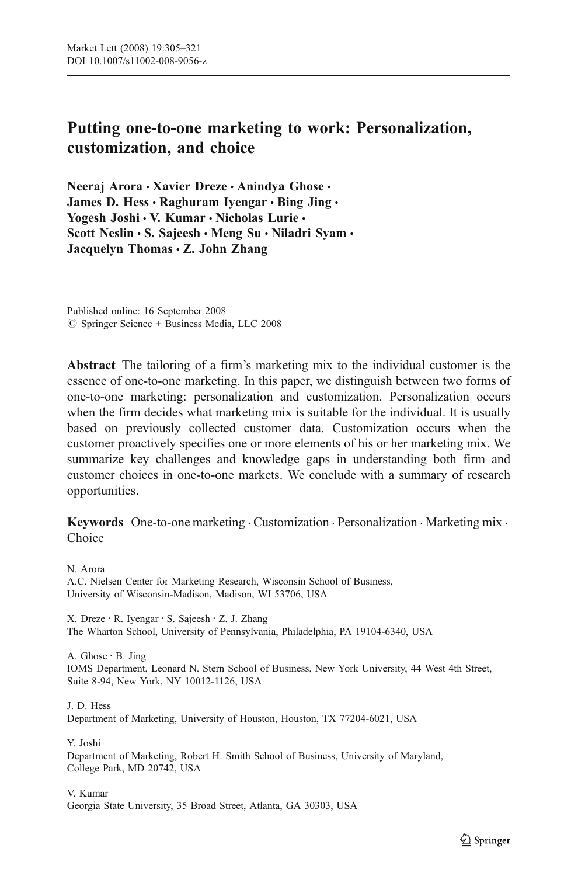# Putting one-to-one marketing to work: Personalization, customization, and choice

Neeraj Arora • Xavier Dreze • Anindya Ghose • James D. Hess  $\cdot$  Raghuram Iyengar  $\cdot$  Bing Jing  $\cdot$ Yogesh Joshi · V. Kumar · Nicholas Lurie · Scott Neslin · S. Sajeesh · Meng Su · Niladri Syam · Jacquelyn Thomas  $\cdot$  Z. John Zhang

Published online: 16 September 2008  $\oslash$  Springer Science + Business Media, LLC 2008

Abstract The tailoring of a firm's marketing mix to the individual customer is the essence of one-to-one marketing. In this paper, we distinguish between two forms of one-to-one marketing: personalization and customization. Personalization occurs when the firm decides what marketing mix is suitable for the individual. It is usually based on previously collected customer data. Customization occurs when the customer proactively specifies one or more elements of his or her marketing mix. We summarize key challenges and knowledge gaps in understanding both firm and customer choices in one-to-one markets. We conclude with a summary of research opportunities.

**Keywords** One-to-one marketing  $\cdot$  Customization  $\cdot$  Personalization  $\cdot$  Marketing mix  $\cdot$ **Choice** 

N. Arora

X. Dreze : R. Iyengar : S. Sajeesh : Z. J. Zhang The Wharton School, University of Pennsylvania, Philadelphia, PA 19104-6340, USA

A. Ghose  $\cdot$  B. Jing

IOMS Department, Leonard N. Stern School of Business, New York University, 44 West 4th Street, Suite 8-94, New York, NY 10012-1126, USA

J. D. Hess

Department of Marketing, University of Houston, Houston, TX 77204-6021, USA

Y. Joshi Department of Marketing, Robert H. Smith School of Business, University of Maryland, College Park, MD 20742, USA

V. Kumar Georgia State University, 35 Broad Street, Atlanta, GA 30303, USA

A.C. Nielsen Center for Marketing Research, Wisconsin School of Business, University of Wisconsin-Madison, Madison, WI 53706, USA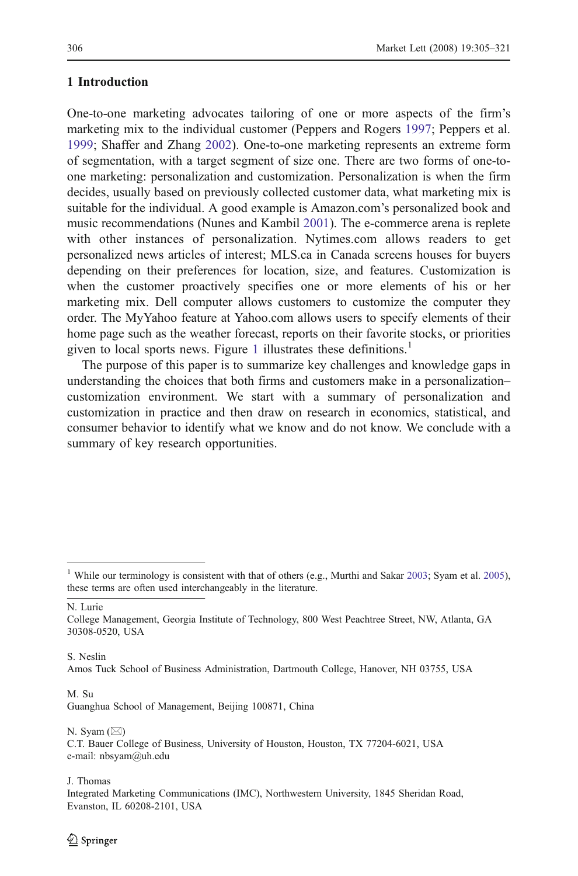# 1 Introduction

One-to-one marketing advocates tailoring of one or more aspects of the firm's marketing mix to the individual customer (Peppers and Rogers [1997](#page-15-0); Peppers et al. [1999;](#page-15-0) Shaffer and Zhang [2002](#page-16-0)). One-to-one marketing represents an extreme form of segmentation, with a target segment of size one. There are two forms of one-toone marketing: personalization and customization. Personalization is when the firm decides, usually based on previously collected customer data, what marketing mix is suitable for the individual. A good example is Amazon.com's personalized book and music recommendations (Nunes and Kambil [2001\)](#page-15-0). The e-commerce arena is replete with other instances of personalization. Nytimes.com allows readers to get personalized news articles of interest; MLS.ca in Canada screens houses for buyers depending on their preferences for location, size, and features. Customization is when the customer proactively specifies one or more elements of his or her marketing mix. Dell computer allows customers to customize the computer they order. The MyYahoo feature at Yahoo.com allows users to specify elements of their home page such as the weather forecast, reports on their favorite stocks, or priorities given to local sports news. Figure [1](#page-2-0) illustrates these definitions.<sup>1</sup>

The purpose of this paper is to summarize key challenges and knowledge gaps in understanding the choices that both firms and customers make in a personalization– customization environment. We start with a summary of personalization and customization in practice and then draw on research in economics, statistical, and consumer behavior to identify what we know and do not know. We conclude with a summary of key research opportunities.

N. Lurie

S. Neslin

Amos Tuck School of Business Administration, Dartmouth College, Hanover, NH 03755, USA

M. Su

Guanghua School of Management, Beijing 100871, China

N. Syam (*\**)

<sup>&</sup>lt;sup>1</sup> While our terminology is consistent with that of others (e.g., Murthi and Sakar [2003](#page-15-0); Syam et al. [2005\)](#page-16-0), these terms are often used interchangeably in the literature.

College Management, Georgia Institute of Technology, 800 West Peachtree Street, NW, Atlanta, GA 30308-0520, USA

C.T. Bauer College of Business, University of Houston, Houston, TX 77204-6021, USA e-mail: nbsyam@uh.edu

J. Thomas

Integrated Marketing Communications (IMC), Northwestern University, 1845 Sheridan Road, Evanston, IL 60208-2101, USA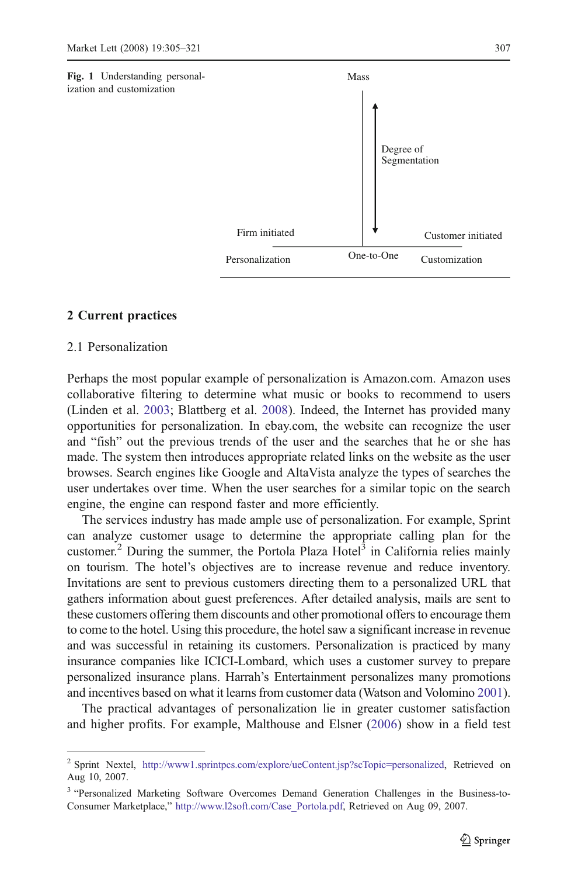<span id="page-2-0"></span>



## 2 Current practices

#### 2.1 Personalization

Perhaps the most popular example of personalization is Amazon.com. Amazon uses collaborative filtering to determine what music or books to recommend to users (Linden et al. [2003](#page-15-0); Blattberg et al. [2008](#page-14-0)). Indeed, the Internet has provided many opportunities for personalization. In ebay.com, the website can recognize the user and "fish" out the previous trends of the user and the searches that he or she has made. The system then introduces appropriate related links on the website as the user browses. Search engines like Google and AltaVista analyze the types of searches the user undertakes over time. When the user searches for a similar topic on the search engine, the engine can respond faster and more efficiently.

The services industry has made ample use of personalization. For example, Sprint can analyze customer usage to determine the appropriate calling plan for the customer.<sup>2</sup> During the summer, the Portola Plaza Hotel<sup>3</sup> in California relies mainly on tourism. The hotel's objectives are to increase revenue and reduce inventory. Invitations are sent to previous customers directing them to a personalized URL that gathers information about guest preferences. After detailed analysis, mails are sent to these customers offering them discounts and other promotional offers to encourage them to come to the hotel. Using this procedure, the hotel saw a significant increase in revenue and was successful in retaining its customers. Personalization is practiced by many insurance companies like ICICI-Lombard, which uses a customer survey to prepare personalized insurance plans. Harrah's Entertainment personalizes many promotions and incentives based on what it learns from customer data (Watson and Volomino [2001\)](#page-16-0).

The practical advantages of personalization lie in greater customer satisfaction and higher profits. For example, Malthouse and Elsner [\(2006](#page-15-0)) show in a field test

<sup>2</sup> Sprint Nextel, [http://www1.sprintpcs.com/explore/ueContent.jsp?scTopic=personalized,](http://www1.sprintpcs.com/explore/ueContent.jsp?scTopic=personalized) Retrieved on Aug 10, 2007.

<sup>&</sup>lt;sup>3</sup> "Personalized Marketing Software Overcomes Demand Generation Challenges in the Business-to-Consumer Marketplace," [http://www.l2soft.com/Case\\_Portola.pdf,](http://www.l2soft.com/Case_Portola.pdf) Retrieved on Aug 09, 2007.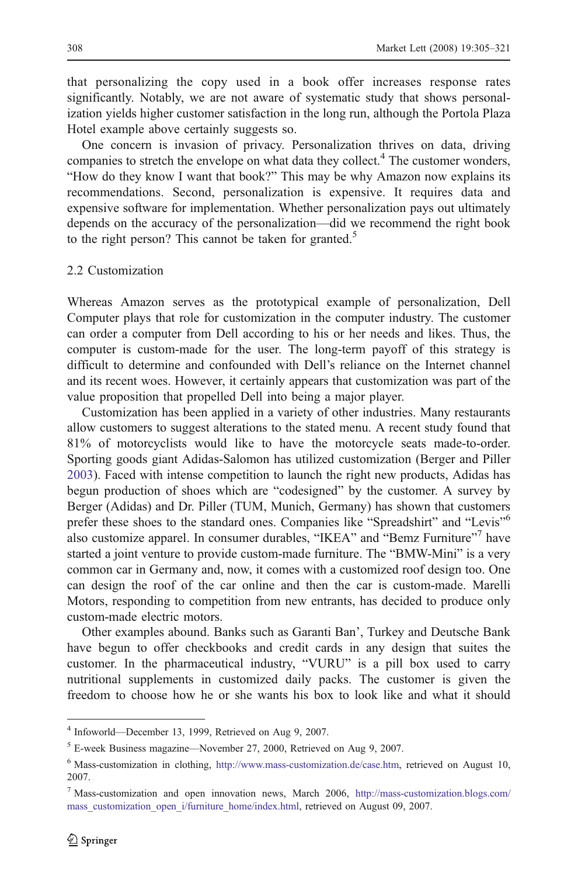that personalizing the copy used in a book offer increases response rates significantly. Notably, we are not aware of systematic study that shows personalization yields higher customer satisfaction in the long run, although the Portola Plaza Hotel example above certainly suggests so.

One concern is invasion of privacy. Personalization thrives on data, driving companies to stretch the envelope on what data they collect.<sup>4</sup> The customer wonders, "How do they know I want that book?" This may be why Amazon now explains its recommendations. Second, personalization is expensive. It requires data and expensive software for implementation. Whether personalization pays out ultimately depends on the accuracy of the personalization—did we recommend the right book to the right person? This cannot be taken for granted.<sup>5</sup>

#### 2.2 Customization

Whereas Amazon serves as the prototypical example of personalization, Dell Computer plays that role for customization in the computer industry. The customer can order a computer from Dell according to his or her needs and likes. Thus, the computer is custom-made for the user. The long-term payoff of this strategy is difficult to determine and confounded with Dell's reliance on the Internet channel and its recent woes. However, it certainly appears that customization was part of the value proposition that propelled Dell into being a major player.

Customization has been applied in a variety of other industries. Many restaurants allow customers to suggest alterations to the stated menu. A recent study found that 81% of motorcyclists would like to have the motorcycle seats made-to-order. Sporting goods giant Adidas-Salomon has utilized customization (Berger and Piller [2003\)](#page-14-0). Faced with intense competition to launch the right new products, Adidas has begun production of shoes which are "codesigned" by the customer. A survey by Berger (Adidas) and Dr. Piller (TUM, Munich, Germany) has shown that customers prefer these shoes to the standard ones. Companies like "Spreadshirt" and "Levis"<sup>6</sup> also customize apparel. In consumer durables, "IKEA" and "Bemz Furniture"<sup>7</sup> have started a joint venture to provide custom-made furniture. The "BMW-Mini" is a very common car in Germany and, now, it comes with a customized roof design too. One can design the roof of the car online and then the car is custom-made. Marelli Motors, responding to competition from new entrants, has decided to produce only custom-made electric motors.

Other examples abound. Banks such as Garanti Ban', Turkey and Deutsche Bank have begun to offer checkbooks and credit cards in any design that suites the customer. In the pharmaceutical industry, "VURU" is a pill box used to carry nutritional supplements in customized daily packs. The customer is given the freedom to choose how he or she wants his box to look like and what it should

<sup>4</sup> Infoworld—December 13, 1999, Retrieved on Aug 9, 2007.

<sup>5</sup> E-week Business magazine—November 27, 2000, Retrieved on Aug 9, 2007.

 $6$  Mass-customization in clothing, <http://www.mass-customization.de/case.htm>, retrieved on August 10, 2007.

<sup>7</sup> Mass-customization and open innovation news, March 2006, [http://mass-customization.blogs.com/](http://mass-customization.blogs.com/mass_customization_open_i/furniture_home/index.html) [mass\\_customization\\_open\\_i/furniture\\_home/index.html,](http://mass-customization.blogs.com/mass_customization_open_i/furniture_home/index.html) retrieved on August 09, 2007.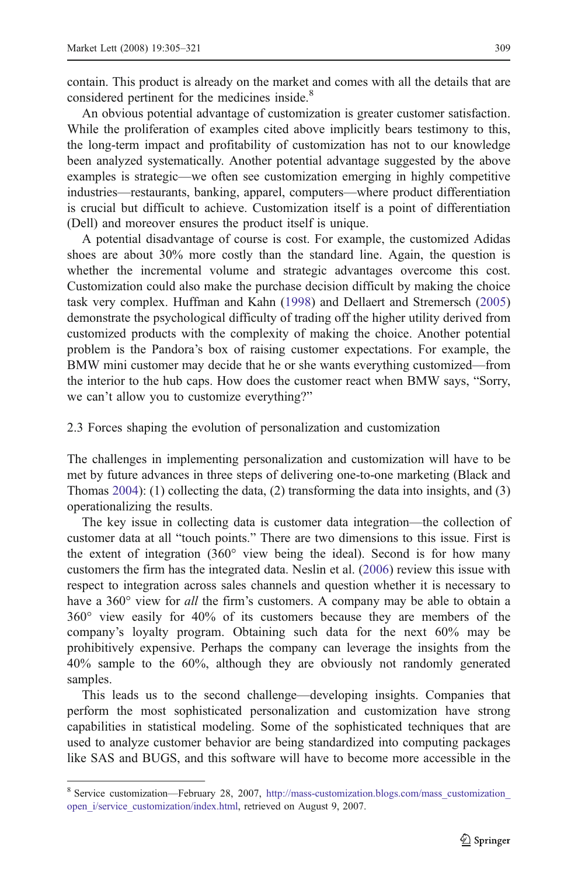contain. This product is already on the market and comes with all the details that are considered pertinent for the medicines inside.<sup>8</sup>

An obvious potential advantage of customization is greater customer satisfaction. While the proliferation of examples cited above implicitly bears testimony to this, the long-term impact and profitability of customization has not to our knowledge been analyzed systematically. Another potential advantage suggested by the above examples is strategic—we often see customization emerging in highly competitive industries—restaurants, banking, apparel, computers—where product differentiation is crucial but difficult to achieve. Customization itself is a point of differentiation (Dell) and moreover ensures the product itself is unique.

A potential disadvantage of course is cost. For example, the customized Adidas shoes are about 30% more costly than the standard line. Again, the question is whether the incremental volume and strategic advantages overcome this cost. Customization could also make the purchase decision difficult by making the choice task very complex. Huffman and Kahn ([1998\)](#page-15-0) and Dellaert and Stremersch [\(2005](#page-14-0)) demonstrate the psychological difficulty of trading off the higher utility derived from customized products with the complexity of making the choice. Another potential problem is the Pandora's box of raising customer expectations. For example, the BMW mini customer may decide that he or she wants everything customized—from the interior to the hub caps. How does the customer react when BMW says, "Sorry, we can't allow you to customize everything?"

2.3 Forces shaping the evolution of personalization and customization

The challenges in implementing personalization and customization will have to be met by future advances in three steps of delivering one-to-one marketing (Black and Thomas [2004](#page-14-0)): (1) collecting the data, (2) transforming the data into insights, and (3) operationalizing the results.

The key issue in collecting data is customer data integration—the collection of customer data at all "touch points." There are two dimensions to this issue. First is the extent of integration (360° view being the ideal). Second is for how many customers the firm has the integrated data. Neslin et al. [\(2006\)](#page-15-0) review this issue with respect to integration across sales channels and question whether it is necessary to have a 360° view for *all* the firm's customers. A company may be able to obtain a 360° view easily for 40% of its customers because they are members of the company's loyalty program. Obtaining such data for the next 60% may be prohibitively expensive. Perhaps the company can leverage the insights from the 40% sample to the 60%, although they are obviously not randomly generated samples.

This leads us to the second challenge—developing insights. Companies that perform the most sophisticated personalization and customization have strong capabilities in statistical modeling. Some of the sophisticated techniques that are used to analyze customer behavior are being standardized into computing packages like SAS and BUGS, and this software will have to become more accessible in the

<sup>&</sup>lt;sup>8</sup> Service customization—February 28, 2007, http://mass-customization.blogs.com/mass\_customization open i/service customization/index.html, retrieved on August 9, 2007.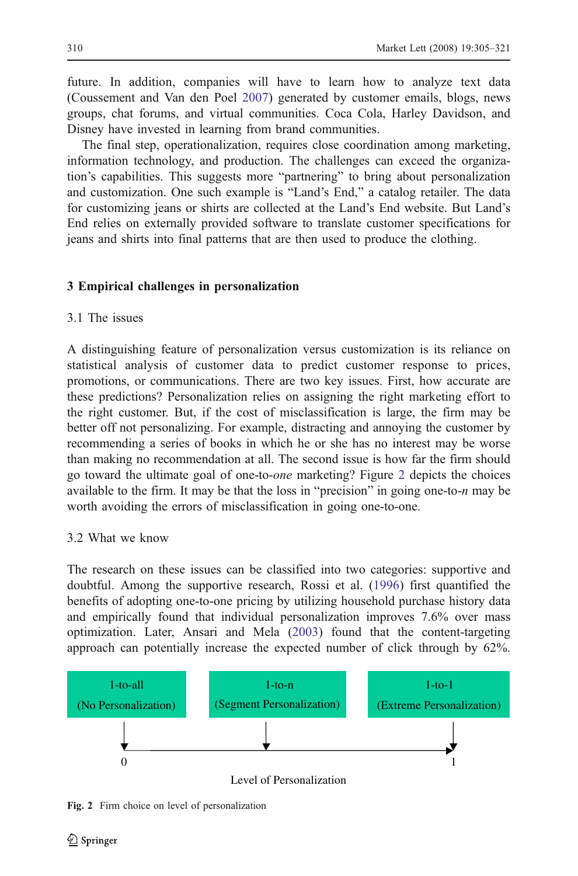future. In addition, companies will have to learn how to analyze text data (Coussement and Van den Poel [2007](#page-14-0)) generated by customer emails, blogs, news groups, chat forums, and virtual communities. Coca Cola, Harley Davidson, and Disney have invested in learning from brand communities.

The final step, operationalization, requires close coordination among marketing, information technology, and production. The challenges can exceed the organization's capabilities. This suggests more "partnering" to bring about personalization and customization. One such example is "Land's End," a catalog retailer. The data for customizing jeans or shirts are collected at the Land's End website. But Land's End relies on externally provided software to translate customer specifications for jeans and shirts into final patterns that are then used to produce the clothing.

# 3 Empirical challenges in personalization

# 3.1 The issues

A distinguishing feature of personalization versus customization is its reliance on statistical analysis of customer data to predict customer response to prices, promotions, or communications. There are two key issues. First, how accurate are these predictions? Personalization relies on assigning the right marketing effort to the right customer. But, if the cost of misclassification is large, the firm may be better off not personalizing. For example, distracting and annoying the customer by recommending a series of books in which he or she has no interest may be worse than making no recommendation at all. The second issue is how far the firm should go toward the ultimate goal of one-to-one marketing? Figure 2 depicts the choices available to the firm. It may be that the loss in "precision" in going one-to- $n$  may be worth avoiding the errors of misclassification in going one-to-one.

# 3.2 What we know

The research on these issues can be classified into two categories: supportive and doubtful. Among the supportive research, Rossi et al. ([1996\)](#page-15-0) first quantified the benefits of adopting one-to-one pricing by utilizing household purchase history data and empirically found that individual personalization improves 7.6% over mass optimization. Later, Ansari and Mela [\(2003](#page-13-0)) found that the content-targeting approach can potentially increase the expected number of click through by 62%.



Level of Personalization

Fig. 2 Firm choice on level of personalization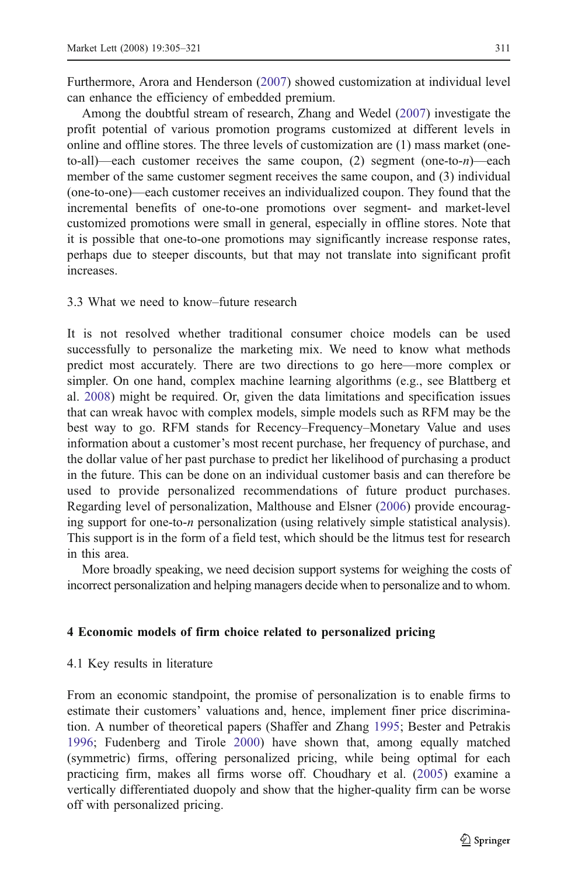Furthermore, Arora and Henderson [\(2007](#page-14-0)) showed customization at individual level can enhance the efficiency of embedded premium.

Among the doubtful stream of research, Zhang and Wedel [\(2007\)](#page-16-0) investigate the profit potential of various promotion programs customized at different levels in online and offline stores. The three levels of customization are (1) mass market (oneto-all)—each customer receives the same coupon,  $(2)$  segment (one-to-n)—each member of the same customer segment receives the same coupon, and (3) individual (one-to-one)—each customer receives an individualized coupon. They found that the incremental benefits of one-to-one promotions over segment- and market-level customized promotions were small in general, especially in offline stores. Note that it is possible that one-to-one promotions may significantly increase response rates, perhaps due to steeper discounts, but that may not translate into significant profit increases.

## 3.3 What we need to know–future research

It is not resolved whether traditional consumer choice models can be used successfully to personalize the marketing mix. We need to know what methods predict most accurately. There are two directions to go here—more complex or simpler. On one hand, complex machine learning algorithms (e.g., see Blattberg et al. [2008](#page-14-0)) might be required. Or, given the data limitations and specification issues that can wreak havoc with complex models, simple models such as RFM may be the best way to go. RFM stands for Recency–Frequency–Monetary Value and uses information about a customer's most recent purchase, her frequency of purchase, and the dollar value of her past purchase to predict her likelihood of purchasing a product in the future. This can be done on an individual customer basis and can therefore be used to provide personalized recommendations of future product purchases. Regarding level of personalization, Malthouse and Elsner [\(2006](#page-15-0)) provide encouraging support for one-to-*n* personalization (using relatively simple statistical analysis). This support is in the form of a field test, which should be the litmus test for research in this area.

More broadly speaking, we need decision support systems for weighing the costs of incorrect personalization and helping managers decide when to personalize and to whom.

#### 4 Economic models of firm choice related to personalized pricing

#### 4.1 Key results in literature

From an economic standpoint, the promise of personalization is to enable firms to estimate their customers' valuations and, hence, implement finer price discrimination. A number of theoretical papers (Shaffer and Zhang [1995](#page-15-0); Bester and Petrakis [1996;](#page-14-0) Fudenberg and Tirole [2000\)](#page-14-0) have shown that, among equally matched (symmetric) firms, offering personalized pricing, while being optimal for each practicing firm, makes all firms worse off. Choudhary et al. [\(2005](#page-14-0)) examine a vertically differentiated duopoly and show that the higher-quality firm can be worse off with personalized pricing.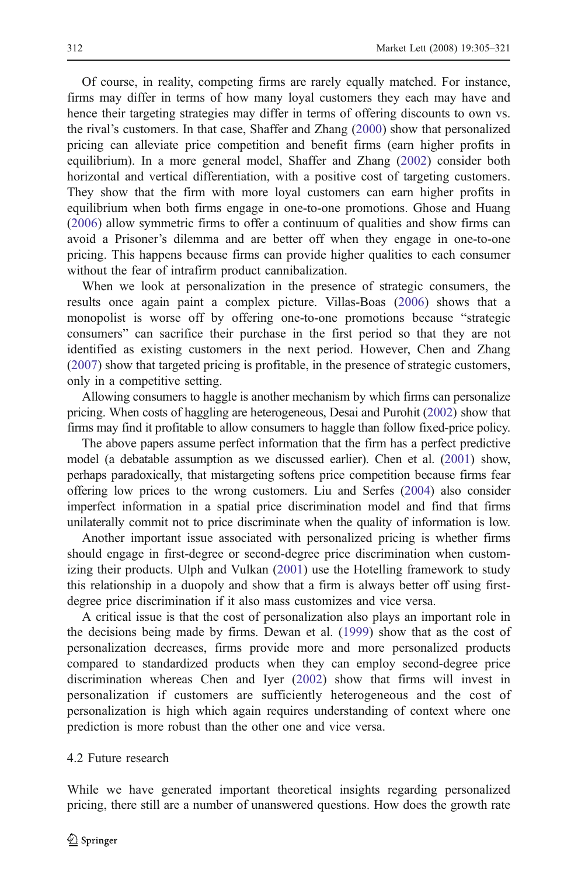Of course, in reality, competing firms are rarely equally matched. For instance, firms may differ in terms of how many loyal customers they each may have and hence their targeting strategies may differ in terms of offering discounts to own vs. the rival's customers. In that case, Shaffer and Zhang ([2000\)](#page-15-0) show that personalized pricing can alleviate price competition and benefit firms (earn higher profits in equilibrium). In a more general model, Shaffer and Zhang ([2002\)](#page-16-0) consider both horizontal and vertical differentiation, with a positive cost of targeting customers. They show that the firm with more loyal customers can earn higher profits in equilibrium when both firms engage in one-to-one promotions. Ghose and Huang [\(2006](#page-14-0)) allow symmetric firms to offer a continuum of qualities and show firms can avoid a Prisoner's dilemma and are better off when they engage in one-to-one pricing. This happens because firms can provide higher qualities to each consumer without the fear of intrafirm product cannibalization.

When we look at personalization in the presence of strategic consumers, the results once again paint a complex picture. Villas-Boas ([2006\)](#page-16-0) shows that a monopolist is worse off by offering one-to-one promotions because "strategic consumers" can sacrifice their purchase in the first period so that they are not identified as existing customers in the next period. However, Chen and Zhang [\(2007](#page-14-0)) show that targeted pricing is profitable, in the presence of strategic customers, only in a competitive setting.

Allowing consumers to haggle is another mechanism by which firms can personalize pricing. When costs of haggling are heterogeneous, Desai and Purohit [\(2002](#page-14-0)) show that firms may find it profitable to allow consumers to haggle than follow fixed-price policy.

The above papers assume perfect information that the firm has a perfect predictive model (a debatable assumption as we discussed earlier). Chen et al. [\(2001\)](#page-14-0) show, perhaps paradoxically, that mistargeting softens price competition because firms fear offering low prices to the wrong customers. Liu and Serfes ([2004](#page-15-0)) also consider imperfect information in a spatial price discrimination model and find that firms unilaterally commit not to price discriminate when the quality of information is low.

Another important issue associated with personalized pricing is whether firms should engage in first-degree or second-degree price discrimination when customizing their products. Ulph and Vulkan ([2001\)](#page-16-0) use the Hotelling framework to study this relationship in a duopoly and show that a firm is always better off using firstdegree price discrimination if it also mass customizes and vice versa.

A critical issue is that the cost of personalization also plays an important role in the decisions being made by firms. Dewan et al. ([1999\)](#page-14-0) show that as the cost of personalization decreases, firms provide more and more personalized products compared to standardized products when they can employ second-degree price discrimination whereas Chen and Iyer [\(2002](#page-14-0)) show that firms will invest in personalization if customers are sufficiently heterogeneous and the cost of personalization is high which again requires understanding of context where one prediction is more robust than the other one and vice versa.

#### 4.2 Future research

While we have generated important theoretical insights regarding personalized pricing, there still are a number of unanswered questions. How does the growth rate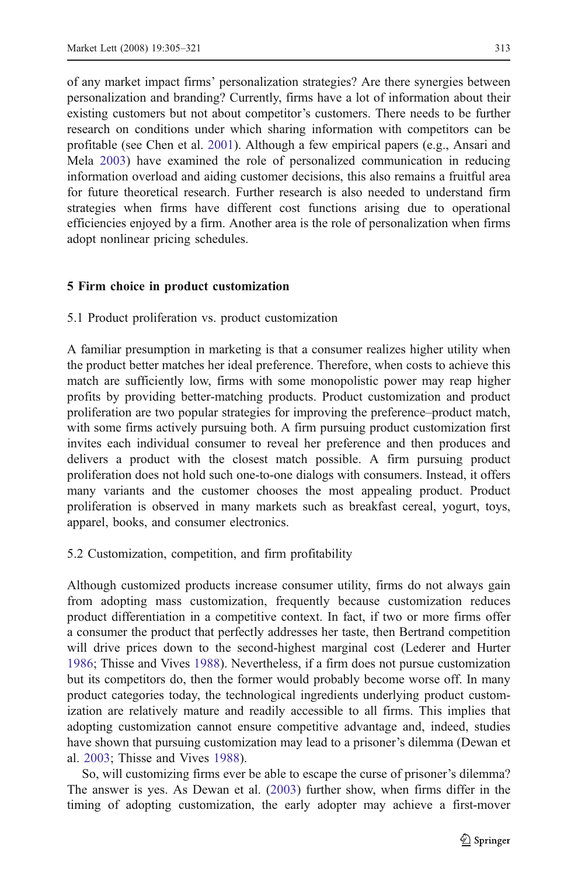of any market impact firms' personalization strategies? Are there synergies between personalization and branding? Currently, firms have a lot of information about their existing customers but not about competitor's customers. There needs to be further research on conditions under which sharing information with competitors can be profitable (see Chen et al. [2001\)](#page-14-0). Although a few empirical papers (e.g., Ansari and Mela [2003\)](#page-13-0) have examined the role of personalized communication in reducing information overload and aiding customer decisions, this also remains a fruitful area for future theoretical research. Further research is also needed to understand firm strategies when firms have different cost functions arising due to operational efficiencies enjoyed by a firm. Another area is the role of personalization when firms adopt nonlinear pricing schedules.

#### 5 Firm choice in product customization

#### 5.1 Product proliferation vs. product customization

A familiar presumption in marketing is that a consumer realizes higher utility when the product better matches her ideal preference. Therefore, when costs to achieve this match are sufficiently low, firms with some monopolistic power may reap higher profits by providing better-matching products. Product customization and product proliferation are two popular strategies for improving the preference–product match, with some firms actively pursuing both. A firm pursuing product customization first invites each individual consumer to reveal her preference and then produces and delivers a product with the closest match possible. A firm pursuing product proliferation does not hold such one-to-one dialogs with consumers. Instead, it offers many variants and the customer chooses the most appealing product. Product proliferation is observed in many markets such as breakfast cereal, yogurt, toys, apparel, books, and consumer electronics.

#### 5.2 Customization, competition, and firm profitability

Although customized products increase consumer utility, firms do not always gain from adopting mass customization, frequently because customization reduces product differentiation in a competitive context. In fact, if two or more firms offer a consumer the product that perfectly addresses her taste, then Bertrand competition will drive prices down to the second-highest marginal cost (Lederer and Hurter [1986;](#page-15-0) Thisse and Vives [1988](#page-16-0)). Nevertheless, if a firm does not pursue customization but its competitors do, then the former would probably become worse off. In many product categories today, the technological ingredients underlying product customization are relatively mature and readily accessible to all firms. This implies that adopting customization cannot ensure competitive advantage and, indeed, studies have shown that pursuing customization may lead to a prisoner's dilemma (Dewan et al. [2003;](#page-14-0) Thisse and Vives [1988](#page-16-0)).

So, will customizing firms ever be able to escape the curse of prisoner's dilemma? The answer is yes. As Dewan et al. ([2003\)](#page-14-0) further show, when firms differ in the timing of adopting customization, the early adopter may achieve a first-mover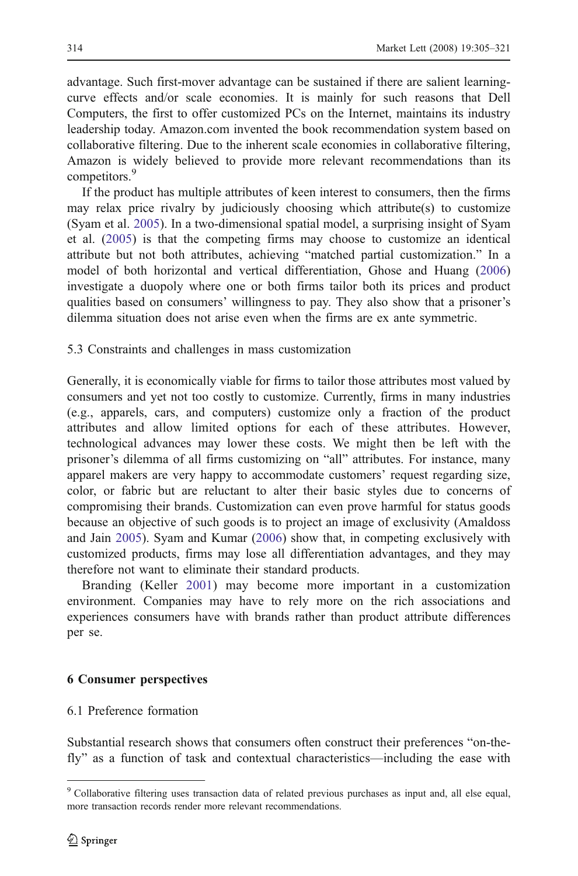advantage. Such first-mover advantage can be sustained if there are salient learningcurve effects and/or scale economies. It is mainly for such reasons that Dell Computers, the first to offer customized PCs on the Internet, maintains its industry leadership today. Amazon.com invented the book recommendation system based on collaborative filtering. Due to the inherent scale economies in collaborative filtering, Amazon is widely believed to provide more relevant recommendations than its competitors.<sup>9</sup>

If the product has multiple attributes of keen interest to consumers, then the firms may relax price rivalry by judiciously choosing which attribute(s) to customize (Syam et al. [2005\)](#page-16-0). In a two-dimensional spatial model, a surprising insight of Syam et al. ([2005\)](#page-16-0) is that the competing firms may choose to customize an identical attribute but not both attributes, achieving "matched partial customization." In a model of both horizontal and vertical differentiation, Ghose and Huang [\(2006](#page-14-0)) investigate a duopoly where one or both firms tailor both its prices and product qualities based on consumers' willingness to pay. They also show that a prisoner's dilemma situation does not arise even when the firms are ex ante symmetric.

#### 5.3 Constraints and challenges in mass customization

Generally, it is economically viable for firms to tailor those attributes most valued by consumers and yet not too costly to customize. Currently, firms in many industries (e.g., apparels, cars, and computers) customize only a fraction of the product attributes and allow limited options for each of these attributes. However, technological advances may lower these costs. We might then be left with the prisoner's dilemma of all firms customizing on "all" attributes. For instance, many apparel makers are very happy to accommodate customers' request regarding size, color, or fabric but are reluctant to alter their basic styles due to concerns of compromising their brands. Customization can even prove harmful for status goods because an objective of such goods is to project an image of exclusivity (Amaldoss and Jain [2005\)](#page-13-0). Syam and Kumar ([2006\)](#page-16-0) show that, in competing exclusively with customized products, firms may lose all differentiation advantages, and they may therefore not want to eliminate their standard products.

Branding (Keller [2001\)](#page-15-0) may become more important in a customization environment. Companies may have to rely more on the rich associations and experiences consumers have with brands rather than product attribute differences per se.

#### 6 Consumer perspectives

#### 6.1 Preference formation

Substantial research shows that consumers often construct their preferences "on-thefly" as a function of task and contextual characteristics—including the ease with

<sup>9</sup> Collaborative filtering uses transaction data of related previous purchases as input and, all else equal, more transaction records render more relevant recommendations.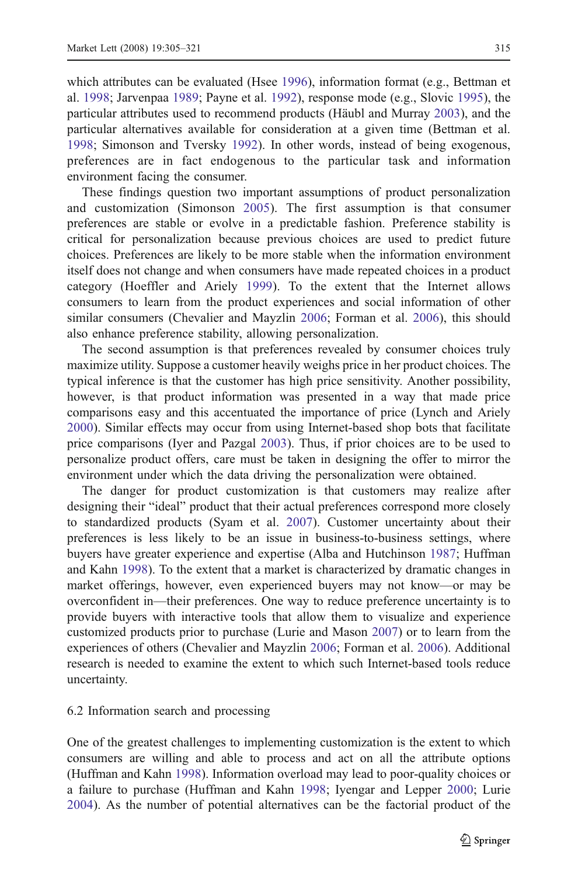which attributes can be evaluated (Hsee [1996\)](#page-14-0), information format (e.g., Bettman et al. [1998](#page-14-0); Jarvenpaa [1989](#page-15-0); Payne et al. [1992\)](#page-15-0), response mode (e.g., Slovic [1995\)](#page-16-0), the particular attributes used to recommend products (Häubl and Murray [2003](#page-14-0)), and the particular alternatives available for consideration at a given time (Bettman et al. [1998;](#page-14-0) Simonson and Tversky [1992](#page-16-0)). In other words, instead of being exogenous, preferences are in fact endogenous to the particular task and information environment facing the consumer.

These findings question two important assumptions of product personalization and customization (Simonson [2005](#page-16-0)). The first assumption is that consumer preferences are stable or evolve in a predictable fashion. Preference stability is critical for personalization because previous choices are used to predict future choices. Preferences are likely to be more stable when the information environment itself does not change and when consumers have made repeated choices in a product category (Hoeffler and Ariely [1999](#page-14-0)). To the extent that the Internet allows consumers to learn from the product experiences and social information of other similar consumers (Chevalier and Mayzlin [2006;](#page-14-0) Forman et al. [2006](#page-14-0)), this should also enhance preference stability, allowing personalization.

The second assumption is that preferences revealed by consumer choices truly maximize utility. Suppose a customer heavily weighs price in her product choices. The typical inference is that the customer has high price sensitivity. Another possibility, however, is that product information was presented in a way that made price comparisons easy and this accentuated the importance of price (Lynch and Ariely [2000\)](#page-15-0). Similar effects may occur from using Internet-based shop bots that facilitate price comparisons (Iyer and Pazgal [2003](#page-15-0)). Thus, if prior choices are to be used to personalize product offers, care must be taken in designing the offer to mirror the environment under which the data driving the personalization were obtained.

The danger for product customization is that customers may realize after designing their "ideal" product that their actual preferences correspond more closely to standardized products (Syam et al. [2007\)](#page-16-0). Customer uncertainty about their preferences is less likely to be an issue in business-to-business settings, where buyers have greater experience and expertise (Alba and Hutchinson [1987;](#page-13-0) Huffman and Kahn [1998\)](#page-15-0). To the extent that a market is characterized by dramatic changes in market offerings, however, even experienced buyers may not know—or may be overconfident in—their preferences. One way to reduce preference uncertainty is to provide buyers with interactive tools that allow them to visualize and experience customized products prior to purchase (Lurie and Mason [2007\)](#page-15-0) or to learn from the experiences of others (Chevalier and Mayzlin [2006;](#page-14-0) Forman et al. [2006](#page-14-0)). Additional research is needed to examine the extent to which such Internet-based tools reduce uncertainty.

#### 6.2 Information search and processing

One of the greatest challenges to implementing customization is the extent to which consumers are willing and able to process and act on all the attribute options (Huffman and Kahn [1998](#page-15-0)). Information overload may lead to poor-quality choices or a failure to purchase (Huffman and Kahn [1998](#page-15-0); Iyengar and Lepper [2000](#page-15-0); Lurie [2004\)](#page-15-0). As the number of potential alternatives can be the factorial product of the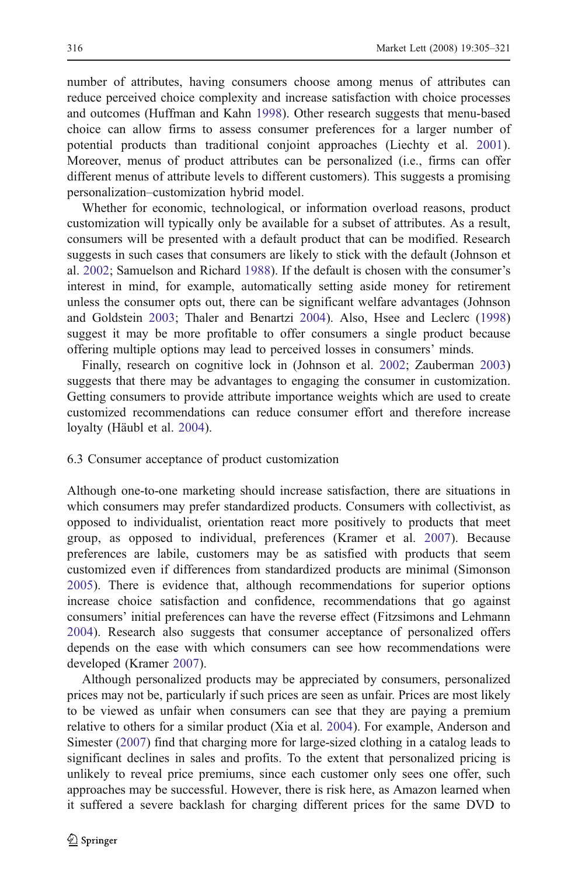number of attributes, having consumers choose among menus of attributes can reduce perceived choice complexity and increase satisfaction with choice processes and outcomes (Huffman and Kahn [1998\)](#page-15-0). Other research suggests that menu-based choice can allow firms to assess consumer preferences for a larger number of potential products than traditional conjoint approaches (Liechty et al. [2001\)](#page-15-0). Moreover, menus of product attributes can be personalized (i.e., firms can offer different menus of attribute levels to different customers). This suggests a promising personalization–customization hybrid model.

Whether for economic, technological, or information overload reasons, product customization will typically only be available for a subset of attributes. As a result, consumers will be presented with a default product that can be modified. Research suggests in such cases that consumers are likely to stick with the default (Johnson et al. [2002](#page-15-0); Samuelson and Richard [1988\)](#page-15-0). If the default is chosen with the consumer's interest in mind, for example, automatically setting aside money for retirement unless the consumer opts out, there can be significant welfare advantages (Johnson and Goldstein [2003](#page-15-0); Thaler and Benartzi [2004](#page-16-0)). Also, Hsee and Leclerc [\(1998](#page-14-0)) suggest it may be more profitable to offer consumers a single product because offering multiple options may lead to perceived losses in consumers' minds.

Finally, research on cognitive lock in (Johnson et al. [2002;](#page-15-0) Zauberman [2003](#page-16-0)) suggests that there may be advantages to engaging the consumer in customization. Getting consumers to provide attribute importance weights which are used to create customized recommendations can reduce consumer effort and therefore increase loyalty (Häubl et al. [2004\)](#page-14-0).

#### 6.3 Consumer acceptance of product customization

Although one-to-one marketing should increase satisfaction, there are situations in which consumers may prefer standardized products. Consumers with collectivist, as opposed to individualist, orientation react more positively to products that meet group, as opposed to individual, preferences (Kramer et al. [2007\)](#page-15-0). Because preferences are labile, customers may be as satisfied with products that seem customized even if differences from standardized products are minimal (Simonson [2005\)](#page-16-0). There is evidence that, although recommendations for superior options increase choice satisfaction and confidence, recommendations that go against consumers' initial preferences can have the reverse effect (Fitzsimons and Lehmann [2004\)](#page-14-0). Research also suggests that consumer acceptance of personalized offers depends on the ease with which consumers can see how recommendations were developed (Kramer [2007\)](#page-15-0).

Although personalized products may be appreciated by consumers, personalized prices may not be, particularly if such prices are seen as unfair. Prices are most likely to be viewed as unfair when consumers can see that they are paying a premium relative to others for a similar product (Xia et al. [2004](#page-16-0)). For example, Anderson and Simester [\(2007](#page-13-0)) find that charging more for large-sized clothing in a catalog leads to significant declines in sales and profits. To the extent that personalized pricing is unlikely to reveal price premiums, since each customer only sees one offer, such approaches may be successful. However, there is risk here, as Amazon learned when it suffered a severe backlash for charging different prices for the same DVD to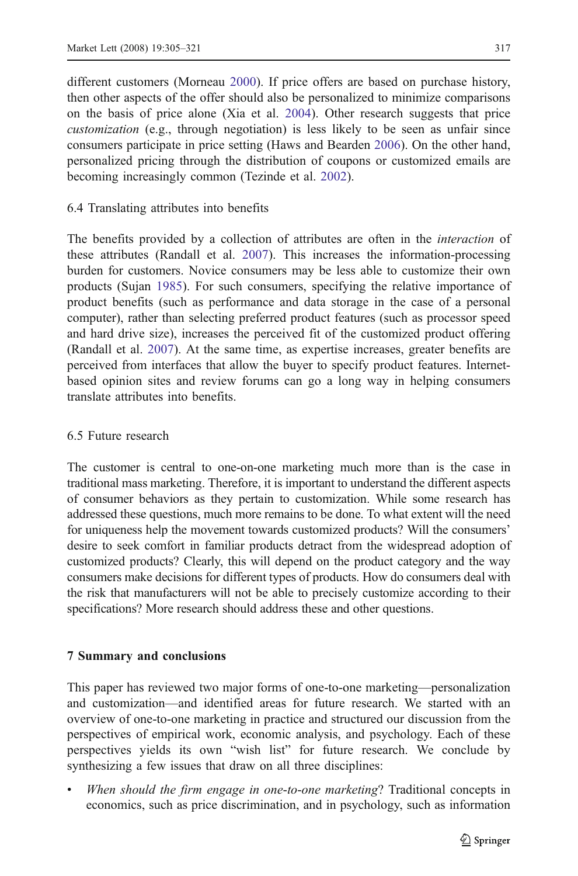different customers (Morneau [2000\)](#page-15-0). If price offers are based on purchase history, then other aspects of the offer should also be personalized to minimize comparisons on the basis of price alone (Xia et al. [2004\)](#page-16-0). Other research suggests that price customization (e.g., through negotiation) is less likely to be seen as unfair since consumers participate in price setting (Haws and Bearden [2006\)](#page-14-0). On the other hand,

personalized pricing through the distribution of coupons or customized emails are

# 6.4 Translating attributes into benefits

becoming increasingly common (Tezinde et al. [2002\)](#page-16-0).

The benefits provided by a collection of attributes are often in the interaction of these attributes (Randall et al. [2007](#page-15-0)). This increases the information-processing burden for customers. Novice consumers may be less able to customize their own products (Sujan [1985\)](#page-16-0). For such consumers, specifying the relative importance of product benefits (such as performance and data storage in the case of a personal computer), rather than selecting preferred product features (such as processor speed and hard drive size), increases the perceived fit of the customized product offering (Randall et al. [2007](#page-15-0)). At the same time, as expertise increases, greater benefits are perceived from interfaces that allow the buyer to specify product features. Internetbased opinion sites and review forums can go a long way in helping consumers translate attributes into benefits.

# 6.5 Future research

The customer is central to one-on-one marketing much more than is the case in traditional mass marketing. Therefore, it is important to understand the different aspects of consumer behaviors as they pertain to customization. While some research has addressed these questions, much more remains to be done. To what extent will the need for uniqueness help the movement towards customized products? Will the consumers' desire to seek comfort in familiar products detract from the widespread adoption of customized products? Clearly, this will depend on the product category and the way consumers make decisions for different types of products. How do consumers deal with the risk that manufacturers will not be able to precisely customize according to their specifications? More research should address these and other questions.

# 7 Summary and conclusions

This paper has reviewed two major forms of one-to-one marketing—personalization and customization—and identified areas for future research. We started with an overview of one-to-one marketing in practice and structured our discussion from the perspectives of empirical work, economic analysis, and psychology. Each of these perspectives yields its own "wish list" for future research. We conclude by synthesizing a few issues that draw on all three disciplines:

When should the firm engage in one-to-one marketing? Traditional concepts in economics, such as price discrimination, and in psychology, such as information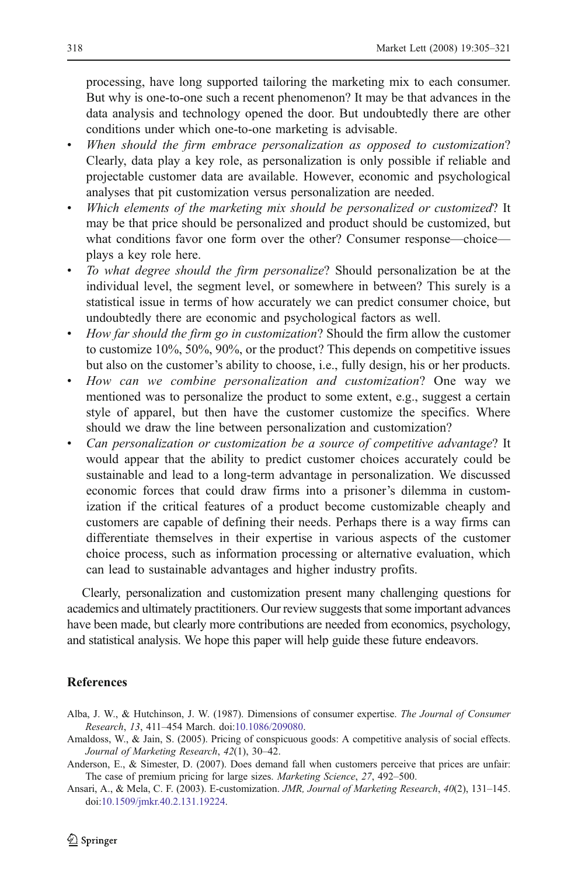<span id="page-13-0"></span>processing, have long supported tailoring the marketing mix to each consumer. But why is one-to-one such a recent phenomenon? It may be that advances in the data analysis and technology opened the door. But undoubtedly there are other conditions under which one-to-one marketing is advisable.

- When should the firm embrace personalization as opposed to customization? Clearly, data play a key role, as personalization is only possible if reliable and projectable customer data are available. However, economic and psychological analyses that pit customization versus personalization are needed.
- Which elements of the marketing mix should be personalized or customized? It may be that price should be personalized and product should be customized, but what conditions favor one form over the other? Consumer response—choice plays a key role here.
- & To what degree should the firm personalize? Should personalization be at the individual level, the segment level, or somewhere in between? This surely is a statistical issue in terms of how accurately we can predict consumer choice, but undoubtedly there are economic and psychological factors as well.
- How far should the firm go in customization? Should the firm allow the customer to customize 10%, 50%, 90%, or the product? This depends on competitive issues but also on the customer's ability to choose, i.e., fully design, his or her products.
- & How can we combine personalization and customization? One way we mentioned was to personalize the product to some extent, e.g., suggest a certain style of apparel, but then have the customer customize the specifics. Where should we draw the line between personalization and customization?
- Can personalization or customization be a source of competitive advantage? It would appear that the ability to predict customer choices accurately could be sustainable and lead to a long-term advantage in personalization. We discussed economic forces that could draw firms into a prisoner's dilemma in customization if the critical features of a product become customizable cheaply and customers are capable of defining their needs. Perhaps there is a way firms can differentiate themselves in their expertise in various aspects of the customer choice process, such as information processing or alternative evaluation, which can lead to sustainable advantages and higher industry profits.

Clearly, personalization and customization present many challenging questions for academics and ultimately practitioners. Our review suggests that some important advances have been made, but clearly more contributions are needed from economics, psychology, and statistical analysis. We hope this paper will help guide these future endeavors.

# References

- Alba, J. W., & Hutchinson, J. W. (1987). Dimensions of consumer expertise. The Journal of Consumer Research, 13, 411–454 March. doi:[10.1086/209080.](http://dx.doi.org/10.1086/209080)
- Amaldoss, W., & Jain, S. (2005). Pricing of conspicuous goods: A competitive analysis of social effects. Journal of Marketing Research, 42(1), 30–42.
- Anderson, E., & Simester, D. (2007). Does demand fall when customers perceive that prices are unfair: The case of premium pricing for large sizes. Marketing Science, 27, 492–500.

Ansari, A., & Mela, C. F. (2003). E-customization. JMR, Journal of Marketing Research, 40(2), 131-145. doi[:10.1509/jmkr.40.2.131.19224](http://dx.doi.org/10.1509/jmkr.40.2.131.19224).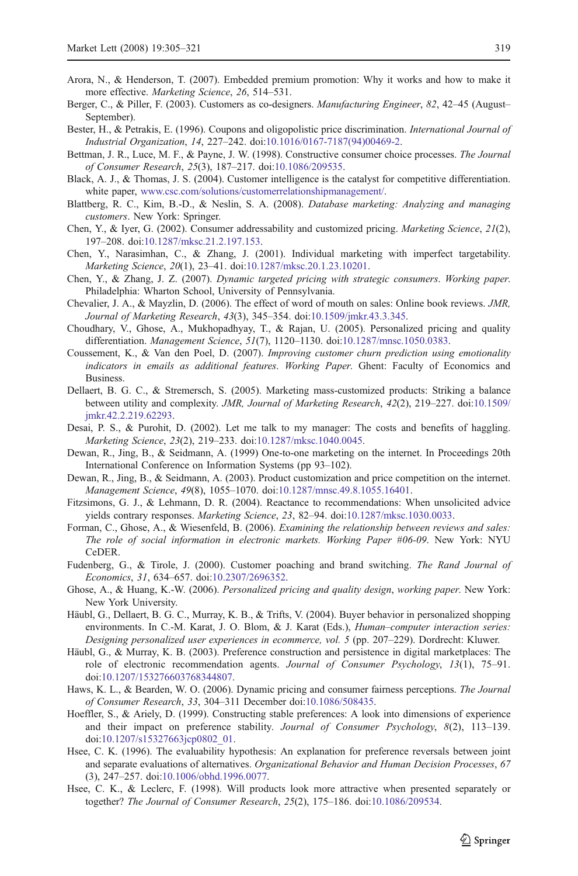- <span id="page-14-0"></span>Arora, N., & Henderson, T. (2007). Embedded premium promotion: Why it works and how to make it more effective. Marketing Science, 26, 514–531.
- Berger, C., & Piller, F. (2003). Customers as co-designers. Manufacturing Engineer, 82, 42–45 (August– September).
- Bester, H., & Petrakis, E. (1996). Coupons and oligopolistic price discrimination. International Journal of Industrial Organization, 14, 227–242. doi[:10.1016/0167-7187\(94\)00469-2](http://dx.doi.org/10.1016/0167-7187(94)00469-2).
- Bettman, J. R., Luce, M. F., & Payne, J. W. (1998). Constructive consumer choice processes. The Journal of Consumer Research, 25(3), 187–217. doi:[10.1086/209535.](http://dx.doi.org/10.1086/209535)
- Black, A. J., & Thomas, J. S. (2004). Customer intelligence is the catalyst for competitive differentiation. white paper, [www.csc.com/solutions/customerrelationshipmanagement/](http://www.csc.com/solutions/customerrelationshipmanagement/).
- Blattberg, R. C., Kim, B.-D., & Neslin, S. A. (2008). Database marketing: Analyzing and managing customers. New York: Springer.
- Chen, Y., & Iyer, G. (2002). Consumer addressability and customized pricing. Marketing Science, 21(2), 197–208. doi:[10.1287/mksc.21.2.197.153.](http://dx.doi.org/10.1287/mksc.21.2.197.153)
- Chen, Y., Narasimhan, C., & Zhang, J. (2001). Individual marketing with imperfect targetability. Marketing Science, 20(1), 23–41. doi[:10.1287/mksc.20.1.23.10201.](http://dx.doi.org/10.1287/mksc.20.1.23.10201)
- Chen, Y., & Zhang, J. Z. (2007). Dynamic targeted pricing with strategic consumers. Working paper. Philadelphia: Wharton School, University of Pennsylvania.
- Chevalier, J. A., & Mayzlin, D. (2006). The effect of word of mouth on sales: Online book reviews. JMR, Journal of Marketing Research, 43(3), 345–354. doi[:10.1509/jmkr.43.3.345.](http://dx.doi.org/10.1509/jmkr.43.3.345)
- Choudhary, V., Ghose, A., Mukhopadhyay, T., & Rajan, U. (2005). Personalized pricing and quality differentiation. Management Science, 51(7), 1120–1130. doi:[10.1287/mnsc.1050.0383.](http://dx.doi.org/10.1287/mnsc.1050.0383)
- Coussement, K., & Van den Poel, D. (2007). Improving customer churn prediction using emotionality indicators in emails as additional features. Working Paper. Ghent: Faculty of Economics and Business.
- Dellaert, B. G. C., & Stremersch, S. (2005). Marketing mass-customized products: Striking a balance between utility and complexity. JMR, Journal of Marketing Research, 42(2), 219–227. doi[:10.1509/](http://dx.doi.org/10.1509/jmkr.42.2.219.62293) [jmkr.42.2.219.62293](http://dx.doi.org/10.1509/jmkr.42.2.219.62293).
- Desai, P. S., & Purohit, D. (2002). Let me talk to my manager: The costs and benefits of haggling. Marketing Science, 23(2), 219–233. doi[:10.1287/mksc.1040.0045.](http://dx.doi.org/10.1287/mksc.1040.0045)
- Dewan, R., Jing, B., & Seidmann, A. (1999) One-to-one marketing on the internet. In Proceedings 20th International Conference on Information Systems (pp 93–102).
- Dewan, R., Jing, B., & Seidmann, A. (2003). Product customization and price competition on the internet. Management Science, 49(8), 1055–1070. doi:[10.1287/mnsc.49.8.1055.16401.](http://dx.doi.org/10.1287/mnsc.49.8.1055.16401)
- Fitzsimons, G. J., & Lehmann, D. R. (2004). Reactance to recommendations: When unsolicited advice yields contrary responses. Marketing Science, 23, 82–94. doi:[10.1287/mksc.1030.0033](http://dx.doi.org/10.1287/mksc.1030.0033).
- Forman, C., Ghose, A., & Wiesenfeld, B. (2006). Examining the relationship between reviews and sales: The role of social information in electronic markets. Working Paper #06-09. New York: NYU CeDER.
- Fudenberg, G., & Tirole, J. (2000). Customer poaching and brand switching. The Rand Journal of Economics, 31, 634–657. doi[:10.2307/2696352](http://dx.doi.org/10.2307/2696352).
- Ghose, A., & Huang, K.-W. (2006). Personalized pricing and quality design, working paper. New York: New York University.
- Häubl, G., Dellaert, B. G. C., Murray, K. B., & Trifts, V. (2004). Buyer behavior in personalized shopping environments. In C.-M. Karat, J. O. Blom, & J. Karat (Eds.), Human*–*computer interaction series: Designing personalized user experiences in ecommerce, vol. 5 (pp. 207–229). Dordrecht: Kluwer.
- Häubl, G., & Murray, K. B. (2003). Preference construction and persistence in digital marketplaces: The role of electronic recommendation agents. Journal of Consumer Psychology, 13(1), 75–91. doi[:10.1207/153276603768344807.](http://dx.doi.org/10.1207/153276603768344807)
- Haws, K. L., & Bearden, W. O. (2006). Dynamic pricing and consumer fairness perceptions. The Journal of Consumer Research, 33, 304–311 December doi[:10.1086/508435](http://dx.doi.org/10.1086/508435).
- Hoeffler, S., & Ariely, D. (1999). Constructing stable preferences: A look into dimensions of experience and their impact on preference stability. Journal of Consumer Psychology, 8(2), 113–139. doi[:10.1207/s15327663jcp0802\\_01](http://dx.doi.org/10.1207/s15327663jcp0802_01).
- Hsee, C. K. (1996). The evaluability hypothesis: An explanation for preference reversals between joint and separate evaluations of alternatives. Organizational Behavior and Human Decision Processes, 67 (3), 247–257. doi[:10.1006/obhd.1996.0077](http://dx.doi.org/10.1006/obhd.1996.0077).
- Hsee, C. K., & Leclerc, F. (1998). Will products look more attractive when presented separately or together? The Journal of Consumer Research, 25(2), 175–186. doi[:10.1086/209534](http://dx.doi.org/10.1086/209534).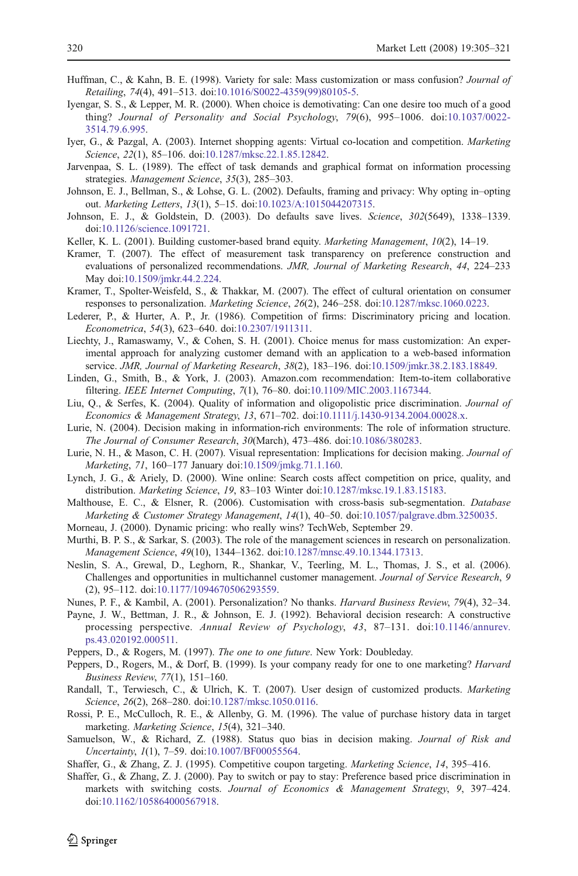- <span id="page-15-0"></span>Huffman, C., & Kahn, B. E. (1998). Variety for sale: Mass customization or mass confusion? Journal of Retailing, 74(4), 491–513. doi:[10.1016/S0022-4359\(99\)80105-5.](http://dx.doi.org/10.1016/S0022-4359(99)80105-5)
- Iyengar, S. S., & Lepper, M. R. (2000). When choice is demotivating: Can one desire too much of a good thing? Journal of Personality and Social Psychology, 79(6), 995–1006. doi[:10.1037/0022-](http://dx.doi.org/10.1037/0022-3514.79.6.995) [3514.79.6.995.](http://dx.doi.org/10.1037/0022-3514.79.6.995)
- Iver, G., & Pazgal, A. (2003). Internet shopping agents: Virtual co-location and competition. *Marketing* Science, 22(1), 85-106. doi:[10.1287/mksc.22.1.85.12842](http://dx.doi.org/10.1287/mksc.22.1.85.12842).
- Jarvenpaa, S. L. (1989). The effect of task demands and graphical format on information processing strategies. Management Science, 35(3), 285–303.
- Johnson, E. J., Bellman, S., & Lohse, G. L. (2002). Defaults, framing and privacy: Why opting in–opting out. Marketing Letters, 13(1), 5–15. doi:[10.1023/A:1015044207315](http://dx.doi.org/10.1023/A:1015044207315).
- Johnson, E. J., & Goldstein, D. (2003). Do defaults save lives. Science, 302(5649), 1338–1339. doi[:10.1126/science.1091721.](http://dx.doi.org/10.1126/science.1091721)
- Keller, K. L. (2001). Building customer-based brand equity. Marketing Management, 10(2), 14–19.
- Kramer, T. (2007). The effect of measurement task transparency on preference construction and evaluations of personalized recommendations. JMR, Journal of Marketing Research, 44, 224–233 May doi[:10.1509/jmkr.44.2.224.](http://dx.doi.org/10.1509/jmkr.44.2.224)
- Kramer, T., Spolter-Weisfeld, S., & Thakkar, M. (2007). The effect of cultural orientation on consumer responses to personalization. Marketing Science, 26(2), 246–258. doi[:10.1287/mksc.1060.0223](http://dx.doi.org/10.1287/mksc.1060.0223).
- Lederer, P., & Hurter, A. P., Jr. (1986). Competition of firms: Discriminatory pricing and location. Econometrica, 54(3), 623–640. doi[:10.2307/1911311](http://dx.doi.org/10.2307/1911311).
- Liechty, J., Ramaswamy, V., & Cohen, S. H. (2001). Choice menus for mass customization: An experimental approach for analyzing customer demand with an application to a web-based information service. JMR, Journal of Marketing Research, 38(2), 183–196. doi[:10.1509/jmkr.38.2.183.18849](http://dx.doi.org/10.1509/jmkr.38.2.183.18849).
- Linden, G., Smith, B., & York, J. (2003). Amazon.com recommendation: Item-to-item collaborative filtering. IEEE Internet Computing, 7(1), 76–80. doi[:10.1109/MIC.2003.1167344](http://dx.doi.org/10.1109/MIC.2003.1167344).
- Liu, Q., & Serfes, K. (2004). Quality of information and oligopolistic price discrimination. Journal of Economics & Management Strategy, 13, 671–702. doi[:10.1111/j.1430-9134.2004.00028.x.](http://dx.doi.org/10.1111/j.1430-9134.2004.00028.x)
- Lurie, N. (2004). Decision making in information-rich environments: The role of information structure. The Journal of Consumer Research, 30(March), 473–486. doi[:10.1086/380283](http://dx.doi.org/10.1086/380283).
- Lurie, N. H., & Mason, C. H. (2007). Visual representation: Implications for decision making. Journal of Marketing, 71, 160–177 January doi:[10.1509/jmkg.71.1.160.](http://dx.doi.org/10.1509/jmkg.71.1.160)
- Lynch, J. G., & Ariely, D. (2000). Wine online: Search costs affect competition on price, quality, and distribution. Marketing Science, 19, 83–103 Winter doi[:10.1287/mksc.19.1.83.15183.](http://dx.doi.org/10.1287/mksc.19.1.83.15183)
- Malthouse, E. C., & Elsner, R. (2006). Customisation with cross-basis sub-segmentation. Database Marketing & Customer Strategy Management, 14(1), 40–50. doi:[10.1057/palgrave.dbm.3250035](http://dx.doi.org/10.1057/palgrave.dbm.3250035).
- Morneau, J. (2000). Dynamic pricing: who really wins? TechWeb, September 29.
- Murthi, B. P. S., & Sarkar, S. (2003). The role of the management sciences in research on personalization. Management Science, 49(10), 1344–1362. doi:[10.1287/mnsc.49.10.1344.17313.](http://dx.doi.org/10.1287/mnsc.49.10.1344.17313)
- Neslin, S. A., Grewal, D., Leghorn, R., Shankar, V., Teerling, M. L., Thomas, J. S., et al. (2006). Challenges and opportunities in multichannel customer management. Journal of Service Research, 9 (2), 95–112. doi[:10.1177/1094670506293559](http://dx.doi.org/10.1177/1094670506293559).
- Nunes, P. F., & Kambil, A. (2001). Personalization? No thanks. Harvard Business Review, 79(4), 32–34.
- Payne, J. W., Bettman, J. R., & Johnson, E. J. (1992). Behavioral decision research: A constructive processing perspective. Annual Review of Psychology, 43, 87–131. doi:[10.1146/annurev.](http://dx.doi.org/10.1146/annurev.ps.43.020192.000511) [ps.43.020192.000511](http://dx.doi.org/10.1146/annurev.ps.43.020192.000511).
- Peppers, D., & Rogers, M. (1997). The one to one future. New York: Doubleday.
- Peppers, D., Rogers, M., & Dorf, B. (1999). Is your company ready for one to one marketing? *Harvard* Business Review, 77(1), 151–160.
- Randall, T., Terwiesch, C., & Ulrich, K. T. (2007). User design of customized products. Marketing Science, 26(2), 268–280. doi:[10.1287/mksc.1050.0116](http://dx.doi.org/10.1287/mksc.1050.0116).
- Rossi, P. E., McCulloch, R. E., & Allenby, G. M. (1996). The value of purchase history data in target marketing. Marketing Science, 15(4), 321–340.
- Samuelson, W., & Richard, Z. (1988). Status quo bias in decision making. Journal of Risk and Uncertainty, 1(1), 7–59. doi[:10.1007/BF00055564.](http://dx.doi.org/10.1007/BF00055564)
- Shaffer, G., & Zhang, Z. J. (1995). Competitive coupon targeting. Marketing Science, 14, 395–416.
- Shaffer, G., & Zhang, Z. J. (2000). Pay to switch or pay to stay: Preference based price discrimination in markets with switching costs. Journal of Economics & Management Strategy, 9, 397–424. doi[:10.1162/105864000567918.](http://dx.doi.org/10.1162/105864000567918)